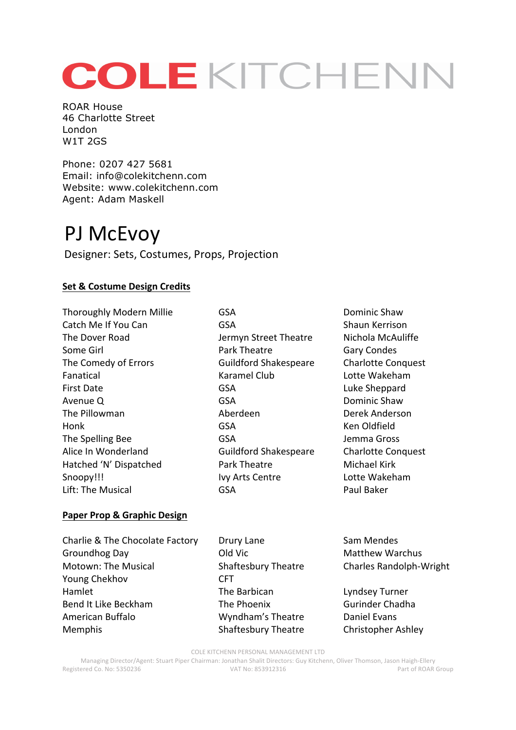# COLEKITCHENN

ROAR House 46 Charlotte Street London W1T 2GS

Phone: 0207 427 5681 Email: info@colekitchenn.com Website: www.colekitchenn.com Agent: Adam Maskell

## PJ McEvoy

Designer: Sets, Costumes, Props, Projection

### **Set & Costume Design Credits**

Thoroughly Modern Millie GSA GSA Dominic Shaw Catch Me If You Can GSA GSA Shaun Kerrison The Dover Road Same Hermyn Street Theatre Nichola McAuliffe Some Girl **Some Girl Condes** Park Theatre Gary Condes The Comedy of Errors **Guildford Shakespeare** Charlotte Conquest Fanatical **Example 2** (Karamel Club Lotte Wakeham First Date **GSA** GSA Luke Sheppard Avenue Q **GSA** GSA Dominic Shaw The Pillowman **Aberdeen** Aberdeen Derek Anderson Honk GSA Ken Oldfield The Spelling Bee GSA GSA Jemma Gross Alice In Wonderland **Guildford Shakespeare** Charlotte Conquest Hatched 'N' Dispatched **Park Theatre** Michael Kirk Snoopy!!! Ivy Arts Centre Lotte Wakeham Lift: The Musical GSA GSA Paul Baker

### **Paper Prop & Graphic Design**

Charlie & The Chocolate Factory Drury Lane Sam Mendes Groundhog Day **Canadian Cold Vic Canadian Cold Victor** Matthew Warchus Motown: The Musical Shaftesbury Theatre Charles Randolph-Wright Young Chekhov **CFT** Hamlet The Barbican Lyndsey Turner Bend It Like Beckham The Phoenix Gurinder Chadha American Buffalo **Mullam's Theatre** Daniel Evans Memphis **Shaftesbury Theatre** Christopher Ashley

COLE KITCHENN PERSONAL MANAGEMENT LTD